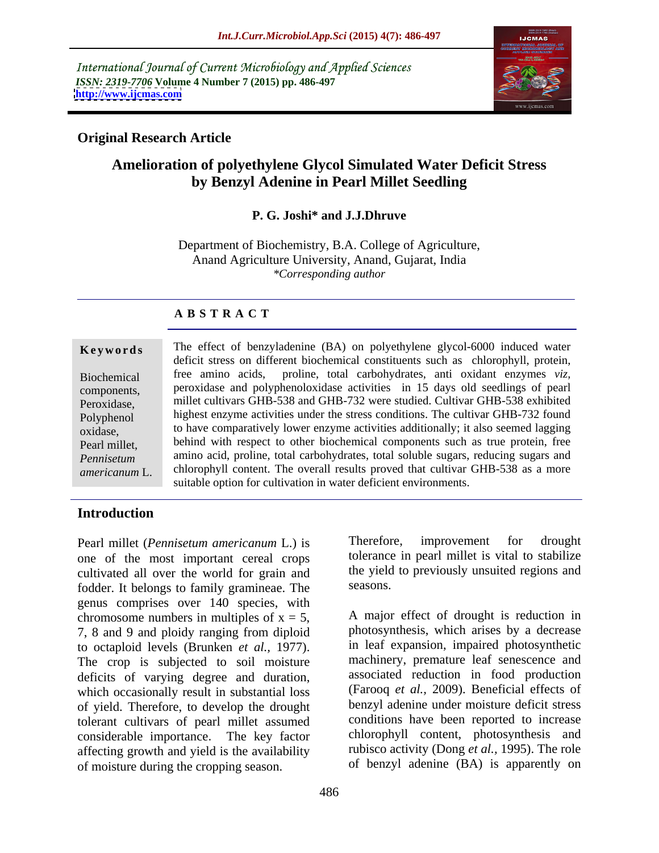International Journal of Current Microbiology and Applied Sciences *ISSN: 2319-7706* **Volume 4 Number 7 (2015) pp. 486-497 <http://www.ijcmas.com>**



### **Original Research Article**

# **Amelioration of polyethylene Glycol Simulated Water Deficit Stress by Benzyl Adenine in Pearl Millet Seedling**

#### **P. G. Joshi\* and J.J.Dhruve**

Department of Biochemistry, B.A. College of Agriculture, Anand Agriculture University, Anand, Gujarat, India *\*Corresponding author*

### **A B S T R A C T**

*americanum* L.

**Keywords** The effect of benzyladenine (BA) on polyethylene glycol-6000 induced water deficit stress on different biochemical constituents such as chlorophyll, protein, free amino acids, proline, total carbohydrates, anti oxidant enzymes *viz,*  Biochemical peroxidase and polyphenoloxidase activities in 15 days old seedlings of pearl components, millet cultivars GHB-538 and GHB-732 were studied. Cultivar GHB-538 exhibited Peroxidase, Polyphenol highest enzyme activities under the stress conditions. The cultivar GHB-732 found to have comparatively lower enzyme activities additionally; it also seemed lagging oxidase, behind with respect to other biochemical components such as true protein, free Pearl millet, amino acid, proline, total carbohydrates, total soluble sugars, reducing sugars and *Pennisetum*  chlorophyll content. The overall results proved that cultivar GHB-538 as a more suitable option for cultivation in water deficient environments.

### **Introduction**

one of the most important cereal crops cultivated all over the world for grain and the yield<br>fodder. It belongs to family gramineae. The seasons, fodder. It belongs to family gramineae. The genus comprises over 140 species, with chromosome numbers in multiples of  $x = 5$ , 7, 8 and 9 and ploidy ranging from diploid to octaploid levels (Brunken *et al.,* 1977). The crop is subjected to soil moisture deficits of varying degree and duration, which occasionally result in substantial loss of yield. Therefore, to develop the drought tolerant cultivars of pearl millet assumed considerable importance. The key factor affecting growth and yield is the availability of moisture during the cropping season.

Pearl millet (*Pennisetum americanum* L.) is Therefore, improvement for drought tolerance in pearl millet is vital to stabilize the yield to previously unsuited regions and seasons.

> A major effect of drought is reduction in photosynthesis, which arises by a decrease in leaf expansion, impaired photosynthetic machinery, premature leaf senescence and associated reduction in food production (Farooq *et al.*, 2009). Beneficial effects of benzyl adenine under moisture deficit stress conditions have been reported to increase chlorophyll content, photosynthesis and rubisco activity (Dong *et al.,* 1995). The role of benzyl adenine (BA) is apparently on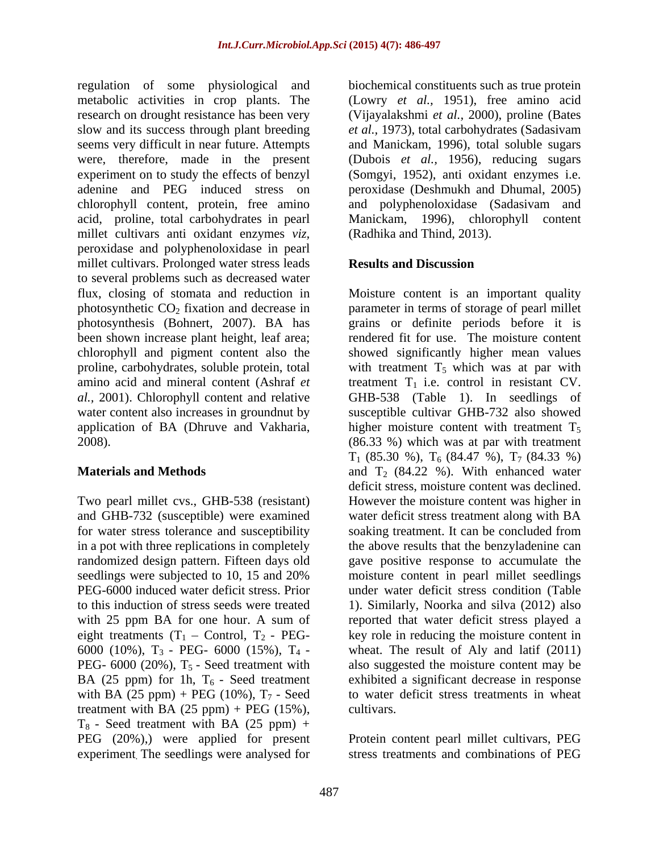regulation of some physiological and biochemical constituents such as true protein metabolic activities in crop plants. The (Lowry *et al.,* 1951), free amino acid research on drought resistance has been very (Vijayalakshmi *et al.,* 2000), proline (Bates slow and its success through plant breeding *et al.,* 1973), total carbohydrates (Sadasivam seems very difficult in near future. Attempts and Manickam, 1996), total soluble sugars were, therefore, made in the present (Dubois *et al.,* 1956), reducing sugars experiment on to study the effects of benzyl (Somgyi, 1952), anti oxidant enzymes i.e. adenine and PEG induced stress on peroxidase (Deshmukh and Dhumal, 2005) chlorophyll content, protein, free amino acid, proline, total carbohydrates in pearl millet cultivars anti oxidant enzymes *viz,*  peroxidase and polyphenoloxidase in pearl millet cultivars. Prolonged water stress leads **Results and Discussion** to several problems such as decreased water been shown increase plant height, leaf area; water content also increases in groundnut by

Two pearl millet cvs., GHB-538 (resistant) for water stress tolerance and susceptibility soaking treatment. It can be concluded from with 25 ppm BA for one hour. A sum of eight treatments  $(T_1 -$  Control,  $T_2$  - PEG-BA (25 ppm) for 1h,  $T_6$  - Seed treatment with BA (25 ppm) + PEG (10%),  $T_7$  - Seed treatment with BA  $(25 ppm) + PEG (15%)$ , cultivars.  $T_8$  - Seed treatment with BA (25 ppm) + PEG (20%),) were applied for present experiment. The seedlings were analysed for

and polyphenoloxidase (Sadasivam and Manickam, 1996), chlorophyll content (Radhika and Thind, 2013).

### **Results and Discussion**

flux, closing of stomata and reduction in Moisture content is an important quality photosynthetic  $CO_2$  fixation and decrease in  $\qquad$  parameter in terms of storage of pearl millet photosynthesis (Bohnert, 2007). BA has grains or definite periods before it is chlorophyll and pigment content also the showed significantly higher mean values proline, carbohydrates, soluble protein, total with treatment  $T_5$  which was at par with amino acid and mineral content (Ashraf  $et$  treatment  $T_1$  i.e. control in resistant CV. *al.,* 2001). Chlorophyll content and relative GHB-538 (Table 1). In seedlings of application of BA (Dhruve and Vakharia, higher moisture content with treatment  $T_5$ 2008). (86.33 %) which was at par with treatment **Materials and Methods** and T<sub>2</sub> (84.22 %). With enhanced water and GHB-732 (susceptible) were examined water deficit stress treatment along with BA in a pot with three replications in completely the above results that the benzyladenine can randomized design pattern. Fifteen days old gave positive response to accumulate the seedlings were subjected to 10, 15 and 20% moisture content in pearl millet seedlings PEG-6000 induced water deficit stress. Prior under water deficit stress condition (Table to this induction of stress seeds were treated 1). Similarly, Noorka and silva (2012) also 6000 (10%),  $T_3$  - PEG- 6000 (15%),  $T_4$  - wheat. The result of Aly and latif (2011) PEG-  $6000$  (20%),  $T_5$  - Seed treatment with also suggested the moisture content may be rendered fit for use. The moisture content susceptible cultivar GHB-732 also showed  $T_1$  (85.30 %),  $T_6$  (84.47 %),  $T_7$  (84.33 %) deficit stress, moisture content was declined. However the moisture content was higher in soaking treatment. It can be concluded from moisture content in pearl millet seedlings reported that water deficit stress played a key role in reducing the moisture content in exhibited a significant decrease in response to water deficit stress treatments in wheat cultivars.

> Protein content pearl millet cultivars, PEG stress treatments and combinations of PEG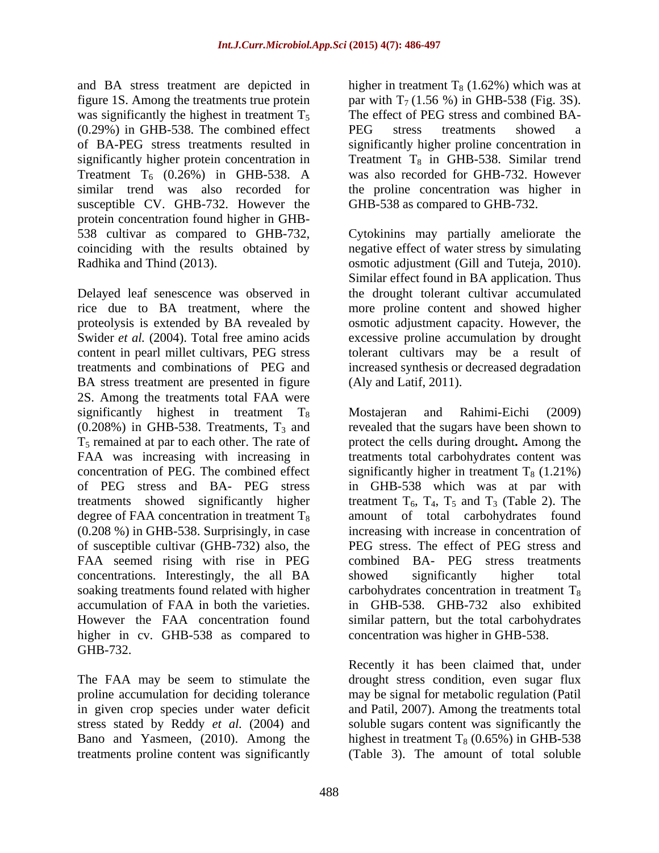and BA stress treatment are depicted in higher in treatment  $T_8$  (1.62%) which was at figure 1S. Among the treatments true protein  $\qquad \qquad$  par with T<sub>7</sub> (1.56 %) in GHB-538 (Fig. 3S). was significantly the highest in treatment  $T_5$ (0.29%) in GHB-538. The combined effect of BA-PEG stress treatments resulted in significantly higher proline concentration in significantly higher protein concentration in Treatment  $T_8$  in GHB-538. Similar trend Treatment  $T_6$  (0.26%) in GHB-538. A was also recorded for GHB-732. However similar trend was also recorded for the proline concentration was higher in susceptible CV. GHB-732. However the protein concentration found higher in GHB-

Delayed leaf senescence was observed in rice due to BA treatment, where the more proline content and showed higher proteolysis is extended by BA revealed by osmotic adjustment capacity. However, the Swider *et al.* (2004). Total free amino acids excessive proline accumulation by drought content in pearl millet cultivars, PEG stress tolerant cultivars may be a result of treatments and combinations of PEG and increased synthesis or decreased degradation BA stress treatment are presented in figure 2S. Among the treatments total FAA were FAA seemed rising with rise in PEG concentrations. Interestingly, the all BA higher in cv. GHB-538 as compared to GHB-732.

treatments proline content was significantly (Table 3). The amount of total soluble

The effect of PEG stress and combined BA- PEG stress treatments showed a GHB-538 as compared to GHB-732.

538 cultivar as compared to GHB-732, Cytokinins may partially ameliorate the coinciding with the results obtained by negative effect of water stress by simulating Radhika and Thind (2013). osmotic adjustment (Gill and Tuteja, 2010). Similar effect found in BA application. Thus the drought tolerant cultivar accumulated (Aly and Latif, 2011).

significantly highest in treatment  $T_8$  Mostajeran and Rahimi-Eichi (2009)  $(0.208%)$  in GHB-538. Treatments,  $T_3$  and revealed that the sugars have been shown to T5 remained at par to each other. The rate of protect the cells during drought**.** Among the FAA was increasing with increasing in treatments total carbohydrates content was concentration of PEG. The combined effect significantly higher in treatment  $T_8$  (1.21%) of PEG stress and BA- PEG stress in GHB-538 which was at par with treatments showed significantly higher treatment  $T_6$ ,  $T_4$ ,  $T_5$  and  $T_3$  (Table 2). The degree of FAA concentration in treatment  $T_8$  amount of total carbohydrates found (0.208 %) in GHB-538. Surprisingly, in case increasing with increase in concentration of of susceptible cultivar (GHB-732) also, the PEG stress. The effect of PEG stress and soaking treatments found related with higher  $\qquad \qquad$  carbohydrates concentration in treatment T<sub>8</sub> accumulation of FAA in both the varieties. in GHB-538. GHB-732 also exhibited However the FAA concentration found similar pattern, but the total carbohydrates Mostajeran and Rahimi-Eichi (2009) combined BA- PEG stress treatments showed significantly higher total concentration was higher in GHB-538.

The FAA may be seem to stimulate the drought stress condition, even sugar flux proline accumulation for deciding tolerance may be signal for metabolic regulation (Patil in given crop species under water deficit and Patil, 2007). Among the treatments total stress stated by Reddy *et al.* (2004) and soluble sugars content was significantly the Bano and Yasmeen, (2010). Among the highest in treatment  $T_8$  (0.65%) in GHB-538 Recently it has been claimed that, under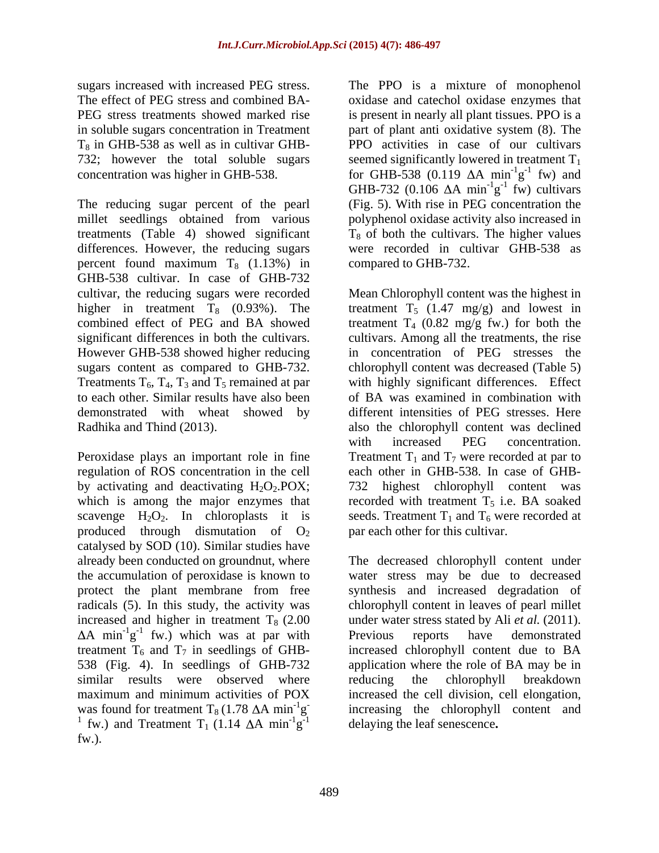$T_8$  in GHB-538 as well as in cultivar GHB-732; however the total soluble sugars

The reducing sugar percent of the pearl millet seedlings obtained from various polyphenol oxidase activity also increased in treatments (Table 4) showed significant  $T_8$  of both the cultivars. The higher values differences. However, the reducing sugars percent found maximum  $T_8$  (1.13%) in compared to GHB-732. GHB-538 cultivar. In case of GHB-732 cultivar, the reducing sugars were recorded Mean Chlorophyll content was the highest in

by activating and deactivating  $H_2O_2.POX;$ produced through dismutation of  $O<sub>2</sub>$ catalysed by SOD (10). Similar studies have already been conducted on groundnut, where protect the plant membrane from free radicals (5). In this study, the activity was 538 (Fig. 4). In seedlings of GHB-732 similar results were observed where reducing the chlorophyll breakdown fw.).

sugars increased with increased PEG stress. The PPO is a mixture of monophenol The effect of PEG stress and combined BA- oxidase and catechol oxidase enzymes that PEG stress treatments showed marked rise is present in nearly all plant tissues. PPO is a in soluble sugars concentration in Treatment part of plant anti oxidative system (8). The concentration was higher in GHB-538.  $\qquad \qquad$  for GHB-538 (0.119  $\Delta A$  min<sup>-1</sup>g<sup>-1</sup> fw) and PPO activities in case of our cultivars seemed significantly lowered in treatment  $T_1$  $^{-1}$   $^{-1}$  fw) and  $g^{-1}$  fw) and  $-1$  fy and fw) and GHB-732 (0.106  $\Delta A$  min<sup>-1</sup>g<sup>-1</sup> fw) cultivars  $^{-1}$  fu) outtings  $g^{-1}$  fw) cultivars  $-1$  full outlivance fw) cultivars (Fig. 5). With rise in PEG concentration the were recorded in cultivar GHB-538 as

higher in treatment  $T_8$  (0.93%). The treatment  $T_5$  (1.47 mg/g) and lowest in combined effect of PEG and BA showed treatment  $T_4$  (0.82 mg/g fw.) for both the significant differences in both the cultivars. cultivars. Among all the treatments, the rise However GHB-538 showed higher reducing in concentration of PEG stresses the sugars content as compared to GHB-732. Chlorophyll content was decreased (Table 5) Treatments  $T_6$ ,  $T_4$ ,  $T_3$  and  $T_5$  remained at par with highly significant differences. Effect to each other. Similar results have also been of BA was examined in combination with demonstrated with wheat showed by different intensities of PEG stresses. Here Radhika and Thind (2013).<br>
With the chlorophyll content was declined<br>
Peroxidase plays an important role in fine<br>
Peroxidase plays an important role in fine<br>
Treatment  $T_1$  and  $T_7$  were recorded at par to regulation of ROS concentration in the cell each other in GHB-538. In case of GHB which is among the major enzymes that  $\qquad$  recorded with treatment  $T_5$  i.e. BA soaked scavenge  $H_2O_2$ . In chloroplasts it is seeds. Treatment  $T_1$  and  $T_6$  were recorded at compared to GHB-732.<br>Mean Chlorophyll content was the highest in also the chlorophyll content was declined with increased PEG concentration. Treatment  $T_1$  and  $T_7$  were recorded at par to 732 highest chlorophyll content was par each other for this cultivar.

the accumulation of peroxidase is known to water stress may be due to decreased increased and higher in treatment  $T_8$  (2.00  $\ldots$  under water stress stated by Ali *et al.* (2011). A min<sup>-1</sup> $g^{-1}$  fw.) which was at par with Previous reports have demonstrated treatment  $T_6$  and  $T_7$  in seedlings of GHB- increased chlorophyll content due to BA maximum and minimum activities of POX increased the cell division, cell elongation, was found for treatment  $T_8 (1.78 \text{ }\Delta \text{A min}^{-1}\text{g}$  increasing the chlorophyll content and <sup>1</sup> fw.) and Treatment T<sub>1</sub> (1.14  $\Delta A$  min<sup>-1</sup>g<sup>-1</sup> delaying the leaf senescence. <sup>-1</sup>g<sup>-1</sup> delaying the leaf senescence. The decreased chlorophyll content under synthesis and increased degradation of chlorophyll content in leaves of pearl millet Previous reports have demonstrated application where the role of BA may be in reducing the chlorophyll breakdown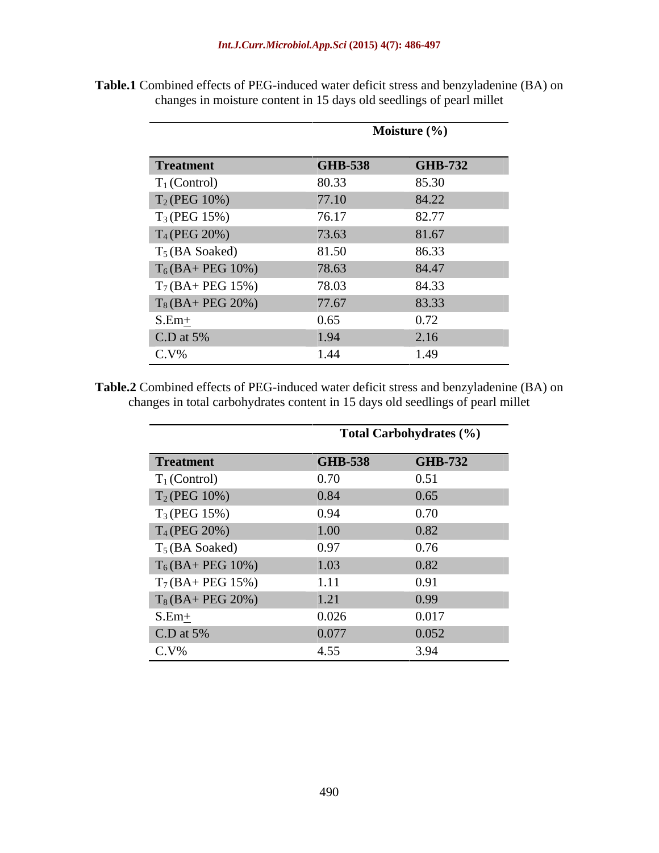|                      |                | Moisture (%)   |
|----------------------|----------------|----------------|
|                      |                |                |
| <b>Treatment</b>     | <b>GHB-538</b> | <b>GHB-732</b> |
| $T_1$ (Control)      | 80.33          | 85.30          |
| $T_2(PEG 10\%)$      | 77.10          | 84.22          |
| $T_3(PEG 15%)$       | 76.17          | 82.77          |
| $T_4$ (PEG 20%)      | 73.63          | 81.67          |
| $T_5$ (BA Soaked)    | 81.50          | 86.33          |
| $T_6(BA + PEG 10%)$  | 78.63          | 84.47          |
| $T_7(BA + PEG 15\%)$ | 78.03          | 84.33          |
| $T_8(BA + PEG 20%)$  | 77.67          | 83.33          |
| $S.Em+$              | 0.65           | 0.72           |
| $C.D$ at 5%          | 1.94           | 2.16           |
| $C.V\%$              | 1.44           | 1.49           |

**Table.1** Combined effects of PEG-induced water deficit stress and benzyladenine (BA) on changes in moisture content in 15 days old seedlings of pearl millet

L,

**Table.2** Combined effects of PEG-induced water deficit stress and benzyladenine (BA) on changes in total carbohydrates content in 15 days old seedlings of pearl millet

|                      |                | <b>Total Carbohydrates (%)</b> |
|----------------------|----------------|--------------------------------|
| <b>Treatment</b>     | <b>GHB-538</b> | <b>GHB-732</b>                 |
| $T_1$ (Control)      | 0.70           | 0.51                           |
| $T_2(PEG 10\%)$      | 0.84           | 0.65                           |
| $T_3(PEG 15%)$       | 0.94           | 0.70                           |
| $T_4$ (PEG 20%)      | 1.00           | 0.82                           |
| $T_5$ (BA Soaked)    | 0.97           | 0.76                           |
| $T_6(BA + PEG 10%)$  | 1.03           | 0.82                           |
| $T_7(BA + PEG 15\%)$ | 1.11           | 0.91                           |
| $T_8(BA + PEG 20%)$  | 1.21           | 0.99                           |
| $S.Em+$              | 0.026          | 0.017                          |
| C.D at $5\%$         | 0.077          | 0.052                          |
| $C.V\%$              | 4.55           | 3.94                           |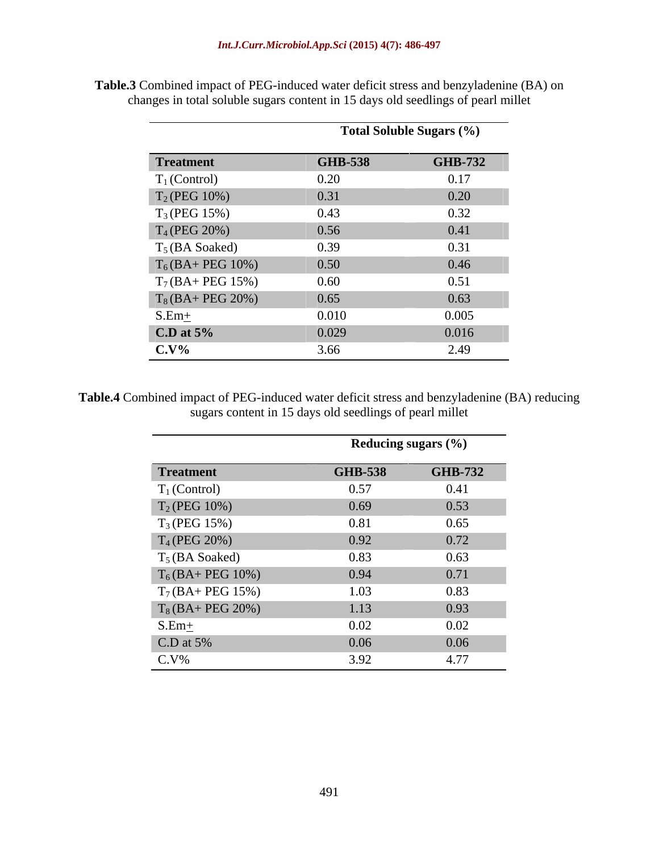|                     |                | <b>Total Soluble Sugars (%)</b> |
|---------------------|----------------|---------------------------------|
| <b>Treatment</b>    | <b>GHB-538</b> | <b>GHB-732</b>                  |
| $T_1$ (Control)     | 0.20           | 0.17                            |
| $T_2(PEG 10%)$      | 0.31           | 0.20                            |
| $T_3(PEG 15%)$      | 0.43           | 0.32                            |
| $T_4$ (PEG 20%)     | 0.56           | 0.41                            |
| $T_5$ (BA Soaked)   | 0.39           | 0.31                            |
| $T_6(BA + PEG 10%)$ | 0.50           | 0.46                            |
| $T_7(BA + PEG 15%)$ | 0.60           | 0.51                            |
| $T_8(BA + PEG 20%)$ | 0.65           | 0.63                            |
| $S.Em+$             | 0.010          | 0.005                           |
| $C.D$ at $5%$       | 0.029          | 0.016                           |
| $C.V\%$             | 3.66           | 2.49                            |

**Table.3** Combined impact of PEG-induced water deficit stress and benzyladenine (BA) on changes in total soluble sugars content in 15 days old seedlings of pearl millet

**Table.4** Combined impact of PEG-induced water deficit stress and benzyladenine (BA) reducing sugars content in 15 days old seedlings of pearl millet

|                     |                | Reducing sugars $(\% )$ |
|---------------------|----------------|-------------------------|
| <b>Treatment</b>    | <b>GHB-538</b> | <b>GHB-732</b>          |
| $T_1$ (Control)     | 0.57           | 0.41                    |
| $T_2(PEG 10\%)$     | 0.69           | 0.53                    |
| $T_3$ (PEG 15%)     | 0.81           | 0.65                    |
| $T_4$ (PEG 20%)     | 0.92           | 0.72                    |
| $T_5$ (BA Soaked)   | 0.83           | 0.63                    |
| $T_6(BA+PEG 10%)$   | 0.94           | 0.71                    |
| $T_7(BA + PEG 15%)$ | 1.03           | 0.83                    |
| $T_8(BA+PEG 20%)$   | 1.13           | 0.93                    |
| $S.Em+$             | 0.02           | 0.02                    |
| $C.D$ at 5%         | 0.06           | 0.06                    |
| $C.V\%$             | 3.92           | 4.77                    |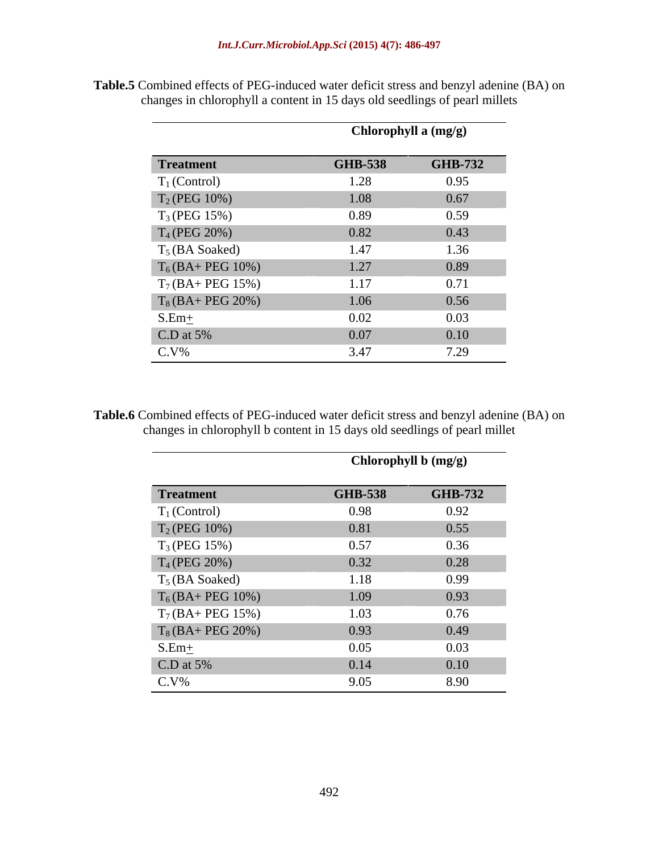|                     | Chlorophyll a (mg/g) |                |
|---------------------|----------------------|----------------|
| <b>Treatment</b>    | <b>GHB-538</b>       | <b>GHB-732</b> |
| $T_1$ (Control)     | 1.28                 | 0.95           |
| $T_2(PEG 10\%)$     | 1.08                 | 0.67           |
| $T_3(PEG 15%)$      | 0.89                 | 0.59           |
| $T_4$ (PEG 20%)     | 0.82                 | 0.43           |
| $T_5$ (BA Soaked)   | 1.47                 | 1.36           |
| $T_6(BA + PEG 10%)$ | 1.27                 | 0.89           |
| $T_7(BA+PEG 15%)$   | 1.17                 | 0.71           |
| $T_8(BA+PEG 20%)$   | 1.06                 | 0.56           |
| $S.Em+$             | 0.02                 | 0.03           |
| $C.D$ at 5%         | 0.07                 | 0.10           |
| $C.V\%$             | 3.47                 | 7.29           |

**Table.5** Combined effects of PEG-induced water deficit stress and benzyl adenine (BA) on changes in chlorophyll a content in 15 days old seedlings of pearl millets

 $\overline{\phantom{a}}$ 

**Table.6** Combined effects of PEG-induced water deficit stress and benzyl adenine (BA) on changes in chlorophyll b content in 15 days old seedlings of pearl millet

|                     | Chlorophyll b (mg/g) |                |
|---------------------|----------------------|----------------|
| <b>Treatment</b>    | <b>GHB-538</b>       | <b>GHB-732</b> |
| $T_1$ (Control)     | 0.98                 | 0.92           |
| $T_2(PEG 10\%)$     | 0.81                 | 0.55           |
| $T_3(PEG 15%)$      | 0.57                 | 0.36           |
| $T_4$ (PEG 20%)     | 0.32                 | 0.28           |
| $T_5$ (BA Soaked)   | 1.18                 | 0.99           |
| $T_6(BA + PEG 10%)$ | 1.09                 | 0.93           |
| $T_7(BA + PEG 15%)$ | 1.03                 | 0.76           |
| $T_8(BA + PEG 20%)$ | 0.93                 | 0.49           |
| $S.Em+$             | 0.05                 | 0.03           |
| $C.D$ at 5%         | 0.14                 | 0.10           |
| $C.V\%$             | 9.05                 | 8.90           |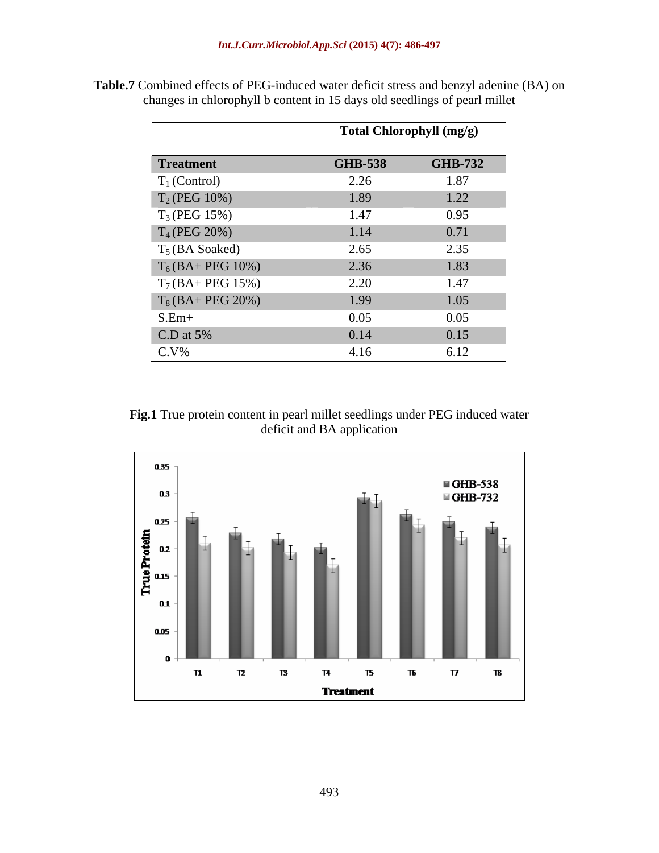|                      | Total Chlorophyll (mg/g) |                |
|----------------------|--------------------------|----------------|
| <b>Treatment</b>     | <b>GHB-538</b>           | <b>GHB-732</b> |
| $T_1$ (Control)      | 2.26                     | 1.87           |
| $T_2(PEG 10\%)$      | 1.89                     | 1.22           |
| $T_3(PEG 15%)$       | 1.47                     | 0.95           |
| $T_4$ (PEG 20%)      | 1.14                     | 0.71           |
| $T_5$ (BA Soaked)    | 2.65                     | 2.35           |
| $T_6(BA + PEG 10%)$  | 2.36                     | 1.83           |
| $T_7(BA + PEG 15\%)$ | 2.20                     | 1.47           |
| $T_8(BA + PEG 20%)$  | 1.99                     | 1.05           |
| $S.Em+$              | 0.05                     | 0.05           |
| $C.D$ at 5%          | 0.14                     | 0.15           |
| $C.V\%$              | 4.16                     | 6.12           |

**Table.7** Combined effects of PEG-induced water deficit stress and benzyl adenine (BA) on changes in chlorophyll b content in 15 days old seedlings of pearl millet

**Fig.1** True protein content in pearl millet seedlings under PEG induced water deficit and BA application

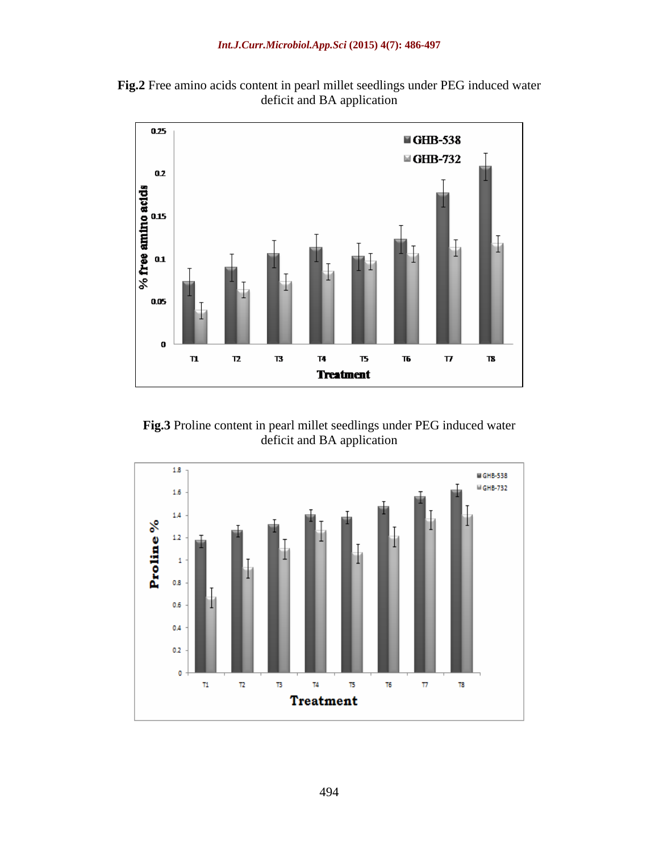**Fig.2** Free amino acids content in pearl millet seedlings under PEG induced water deficit and BA application



**Fig.3** Proline content in pearl millet seedlings under PEG induced water deficit and BA application

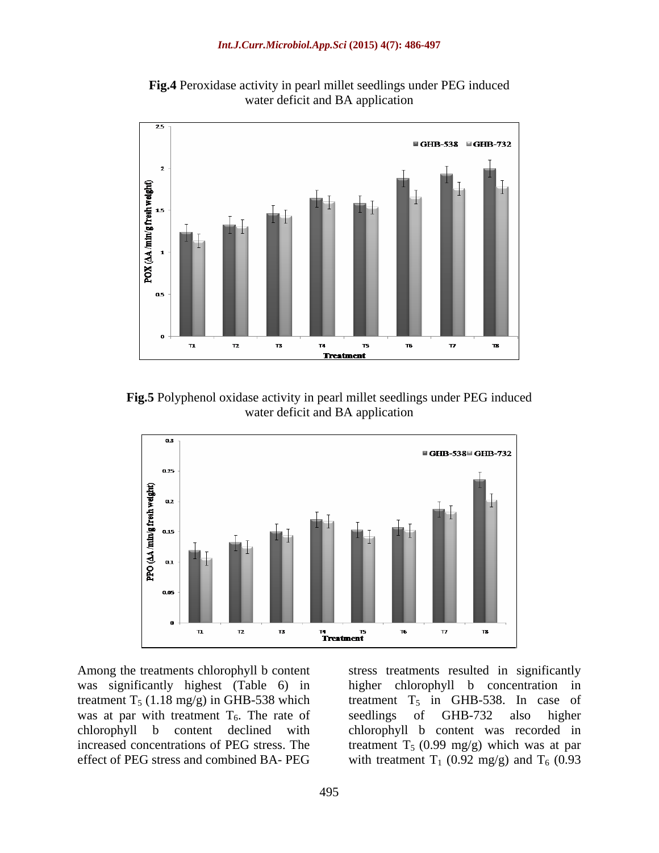**Fig.4** Peroxidase activity in pearl millet seedlings under PEG induced water deficit and BA application



**Fig.5** Polyphenol oxidase activity in pearl millet seedlings under PEG induced water deficit and BA application



was significantly highest (Table 6) in higher chlorophyll b concentration in treatment  $T_5$  (1.18 mg/g) in GHB-538 which was at par with treatment  $T_6$ . The rate of seedlings of GHB-732 also higher chlorophyll b content declined with chlorophyll b content was recorded in chlorophyll b content declined with chlorophyll b content was recorded in increased concentrations of PEG stress. The treatment  $T_5$  (0.99 mg/g) which was at par

Among the treatments chlorophyll b content stress treatments resulted in significantly effect of PEG stress and combined BA- PEG with treatment  $T_1$  (0.92 mg/g) and  $T_6$  (0.93 higher chlorophyll b concentration treatment  $T_5$  in GHB-538. In case of seedlings of GHB-732 also higher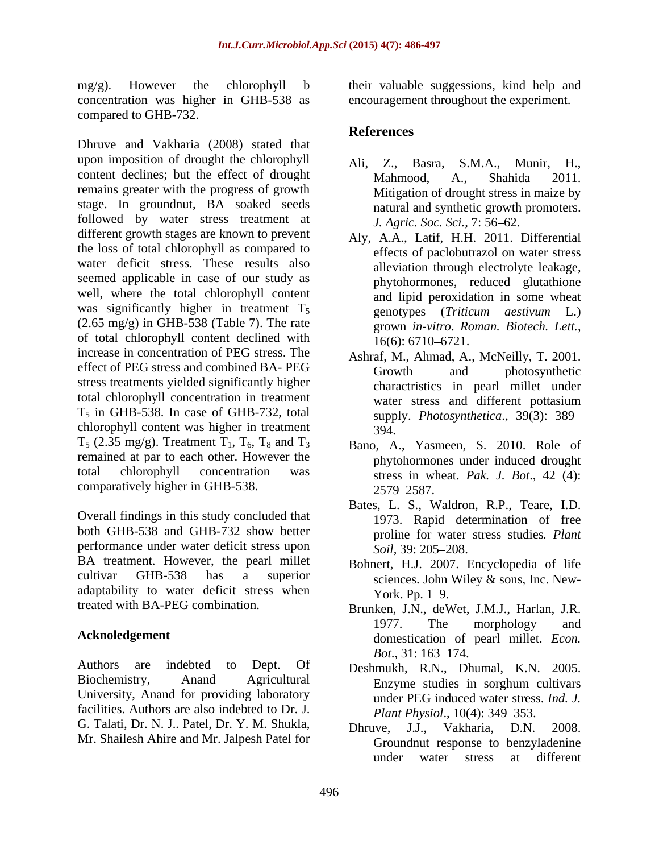mg/g). However the chlorophyll b their valuable suggessions, kind help and concentration was higher in GHB-538 as encouragement throughout the experiment. compared to GHB-732.

Dhruve and Vakharia (2008) stated that upon imposition of drought the chlorophyll Ali, Z., Basra, S.M.A., Munir, H., content declines; but the effect of drought Mahmood, A., Shahida 2011. remains greater with the progress of growth stage. In groundnut, BA soaked seeds followed by water stress treatment at different growth stages are known to prevent the loss of total chlorophyll as compared to water deficit stress. These results also seemed applicable in case of our study as well, where the total chlorophyll content was significantly higher in treatment  $T_5$  genotypes (Triticum aestivum L.)  $(2.65 \text{ mg/g})$  in GHB-538 (Table 7). The rate  $\frac{1}{2}$  grown in-vitro. Roman. Biotech. Lett. of total chlorophyll content declined with  $\frac{5}{16(6)}$ : 6710–6721. increase in concentration of PEG stress. The effect of PEG stress and combined BA- PEG Growth and photosynthetic stress treatments yielded significantly higher total chlorophyll concentration in treatment  $T<sub>5</sub>$  in GHB-538. In case of GHB-732, total chlorophyll content was higher in treatment  $394$  $T_5$  (2.35 mg/g). Treatment  $T_1$ ,  $T_6$ ,  $T_8$  and  $T_3$ remained at par to each other. However the total chlorophyll concentration was stress in wheat. *Pak. J. Bot*., 42 (4): comparatively higher in GHB-538. 2579-2587.

Overall findings in this study concluded that both GHB-538 and GHB-732 show better performance under water deficit stress upon Soil, 39: 205–208. BA treatment. However, the pearl millet cultivar GHB-538 has a superior sciences. John Wiley  $\&$  sons, Inc. Newadaptability to water deficit stress when York Pp. 1-9.

Authors are indebted to Dept. Of Deshmukh, R.N., Dhumal, K.N. 2005. University, Anand for providing laboratory facilities. Authors are also indebted to Dr. J. G. Talati, Dr. N. J.. Patel, Dr. Y. M. Shukla, Mr. Shailesh Ahire and Mr. Jalpesh Patel for

## **References**

- Ali, Z., Basra, S.M.A., Munir, H., Mahmood, A., Shahida 2011. Mitigation of drought stress in maize by natural and synthetic growth promoters. *J. Agric. Soc. Sci., 7:* 56–62.
- Aly, A.A., Latif, H.H. 2011. Differential effects of paclobutrazol on water stress alleviation through electrolyte leakage, phytohormones, reduced glutathione and lipid peroxidation in some wheat genotypes (*Triticum aestivum* L.) grown *in-vitro*. *Roman. Biotech. Lett.*, 16(6): 6710 6721.
- Ashraf, M., Ahmad, A., McNeilly, T. 2001. Growth and photosynthetic charactristics in pearl millet under water stress and different pottasium supply. *Photosynthetica*., 39(3): 389 394.
- Bano, A., Yasmeen, S. 2010. Role of phytohormones under induced drought 2579 2587.
- Bates, L. S., Waldron, R.P., Teare, I.D. 1973. Rapid determination of free proline for water stress studies*. Plant Soil*, 39: 205–208.
- Bohnert, H.J. 2007. Encyclopedia of life York. Pp. 1–9.
- treated with BA-PEG combination. Brunken, J.N., deWet, J.M.J., Harlan, J.R. Acknoledgement domestication of pearl millet. *Econ.* 1977. The morphology and *Bot.*, 31: 163–174.
- Biochemistry, Anand Agricultural Enzyme studies in sorghum cultivars under PEG induced water stress. *Ind. J. Plant Physiol., 10(4): 349–353.* 
	- Dhruve, J.J., Vakharia, D.N. 2008. Groundnut response to benzyladenine under water stress at different